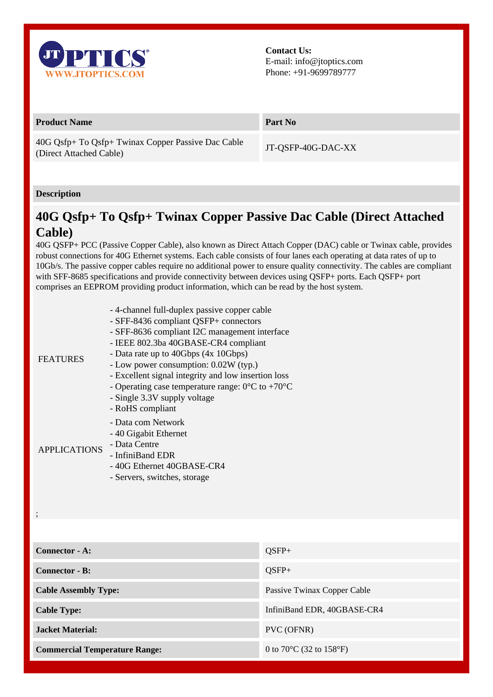

**Contact Us:** E-mail: info@jtoptics.com Phone: +91-9699789777

## **Product Name Part No**

40G Qsfp+ To Qsfp+ Twinax Copper Passive Dac Cable (Direct Attached Cable) Times Copper Lassive Date Cable JT-QSFP-40G-DAC-XX

## **Description**

;

## **40G Qsfp+ To Qsfp+ Twinax Copper Passive Dac Cable (Direct Attached Cable)**

40G QSFP+ PCC (Passive Copper Cable), also known as Direct Attach Copper (DAC) cable or Twinax cable, provides robust connections for 40G Ethernet systems. Each cable consists of four lanes each operating at data rates of up to 10Gb/s. The passive copper cables require no additional power to ensure quality connectivity. The cables are compliant with SFF-8685 specifications and provide connectivity between devices using QSFP+ ports. Each QSFP+ port comprises an EEPROM providing product information, which can be read by the host system.

| <b>FEATURES</b>     | - 4-channel full-duplex passive copper cable<br>- SFF-8436 compliant QSFP+ connectors<br>- SFF-8636 compliant I2C management interface<br>- IEEE 802.3ba 40GBASE-CR4 compliant<br>- Data rate up to 40Gbps (4x 10Gbps)<br>- Low power consumption: 0.02W (typ.)<br>- Excellent signal integrity and low insertion loss<br>- Operating case temperature range: $0^{\circ}$ C to +70 <sup>o</sup> C<br>- Single 3.3V supply voltage<br>- RoHS compliant |
|---------------------|-------------------------------------------------------------------------------------------------------------------------------------------------------------------------------------------------------------------------------------------------------------------------------------------------------------------------------------------------------------------------------------------------------------------------------------------------------|
| <b>APPLICATIONS</b> | - Data com Network<br>- 40 Gigabit Ethernet<br>- Data Centre<br>- InfiniBand EDR<br>-40G Ethernet 40GBASE-CR4<br>- Servers, switches, storage                                                                                                                                                                                                                                                                                                         |

**Connector - A:**  $OSFP+$ **Connector - B:** QSFP+ **Cable Assembly Type:** Passive Twinax Copper Cable **Cable Type:** InfiniBand EDR, 40GBASE-CR4 **Jacket Material:** PVC (OFNR) **Commercial Temperature Range:** 0 to 70°C (32 to 158°F)